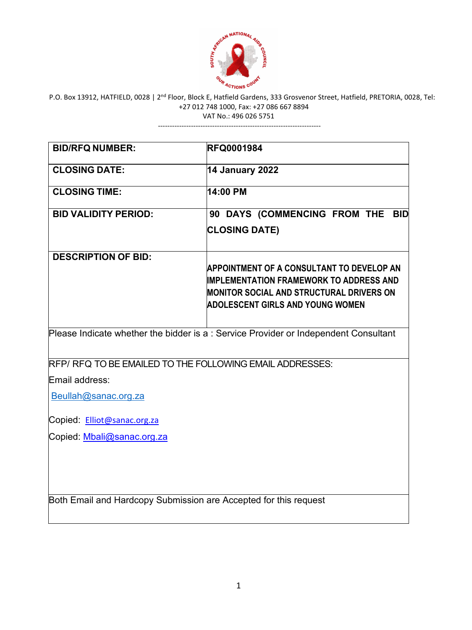

VAT No.: 496 026 5751 ---------------------------------------------------------------------

| <b>BID/RFQ NUMBER:</b>                                                              | <b>RFQ0001984</b>                                                                                                                                                                                |  |
|-------------------------------------------------------------------------------------|--------------------------------------------------------------------------------------------------------------------------------------------------------------------------------------------------|--|
| <b>CLOSING DATE:</b>                                                                | <b>14 January 2022</b>                                                                                                                                                                           |  |
| <b>CLOSING TIME:</b>                                                                | 14:00 PM                                                                                                                                                                                         |  |
| <b>BID VALIDITY PERIOD:</b>                                                         | 90 DAYS (COMMENCING FROM THE BID<br><b>CLOSING DATE)</b>                                                                                                                                         |  |
| <b>DESCRIPTION OF BID:</b>                                                          | <b>APPOINTMENT OF A CONSULTANT TO DEVELOP AN</b><br><b>IMPLEMENTATION FRAMEWORK TO ADDRESS AND</b><br><b>MONITOR SOCIAL AND STRUCTURAL DRIVERS ON</b><br><b>ADOLESCENT GIRLS AND YOUNG WOMEN</b> |  |
| Please Indicate whether the bidder is a: Service Provider or Independent Consultant |                                                                                                                                                                                                  |  |
| RFP/ RFQ TO BE EMAILED TO THE FOLLOWING EMAIL ADDRESSES:                            |                                                                                                                                                                                                  |  |
| Email address:                                                                      |                                                                                                                                                                                                  |  |
| Beullah@sanac.org.za                                                                |                                                                                                                                                                                                  |  |
| Copied: Elliot@sanac.org.za                                                         |                                                                                                                                                                                                  |  |
| Copied: Mbali@sanac.org.za                                                          |                                                                                                                                                                                                  |  |
|                                                                                     |                                                                                                                                                                                                  |  |
| Both Email and Hardcopy Submission are Accepted for this request                    |                                                                                                                                                                                                  |  |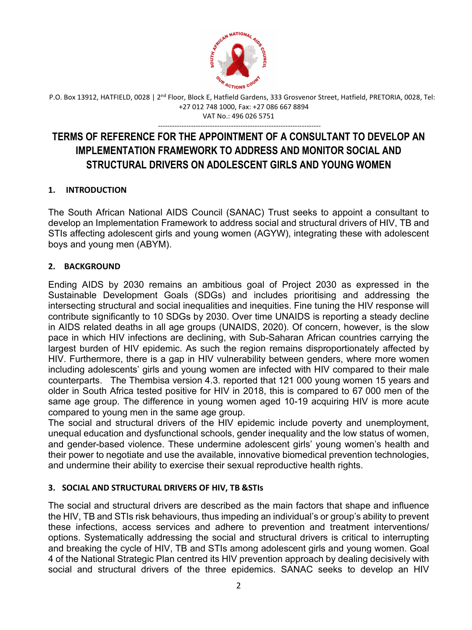

---------------------------------------------------------------------

# **TERMS OF REFERENCE FOR THE APPOINTMENT OF A CONSULTANT TO DEVELOP AN IMPLEMENTATION FRAMEWORK TO ADDRESS AND MONITOR SOCIAL AND STRUCTURAL DRIVERS ON ADOLESCENT GIRLS AND YOUNG WOMEN**

### **1. INTRODUCTION**

The South African National AIDS Council (SANAC) Trust seeks to appoint a consultant to develop an Implementation Framework to address social and structural drivers of HIV, TB and STIs affecting adolescent girls and young women (AGYW), integrating these with adolescent boys and young men (ABYM).

#### **2. BACKGROUND**

Ending AIDS by 2030 remains an ambitious goal of Project 2030 as expressed in the Sustainable Development Goals (SDGs) and includes prioritising and addressing the intersecting structural and social inequalities and inequities. Fine tuning the HIV response will contribute significantly to 10 SDGs by 2030. Over time UNAIDS is reporting a steady decline in AIDS related deaths in all age groups (UNAIDS, 2020). Of concern, however, is the slow pace in which HIV infections are declining, with Sub-Saharan African countries carrying the largest burden of HIV epidemic. As such the region remains disproportionately affected by HIV. Furthermore, there is a gap in HIV vulnerability between genders, where more women including adolescents' girls and young women are infected with HIV compared to their male counterparts. The Thembisa version 4.3. reported that 121 000 young women 15 years and older in South Africa tested positive for HIV in 2018, this is compared to 67 000 men of the same age group. The difference in young women aged 10-19 acquiring HIV is more acute compared to young men in the same age group.

The social and structural drivers of the HIV epidemic include poverty and unemployment, unequal education and dysfunctional schools, gender inequality and the low status of women, and gender-based violence. These undermine adolescent girls' young women's health and their power to negotiate and use the available, innovative biomedical prevention technologies, and undermine their ability to exercise their sexual reproductive health rights.

#### **3. SOCIAL AND STRUCTURAL DRIVERS OF HIV, TB &STIs**

The social and structural drivers are described as the main factors that shape and influence the HIV, TB and STIs risk behaviours, thus impeding an individual's or group's ability to prevent these infections, access services and adhere to prevention and treatment interventions/ options. Systematically addressing the social and structural drivers is critical to interrupting and breaking the cycle of HIV, TB and STIs among adolescent girls and young women. Goal 4 of the National Strategic Plan centred its HIV prevention approach by dealing decisively with social and structural drivers of the three epidemics. SANAC seeks to develop an HIV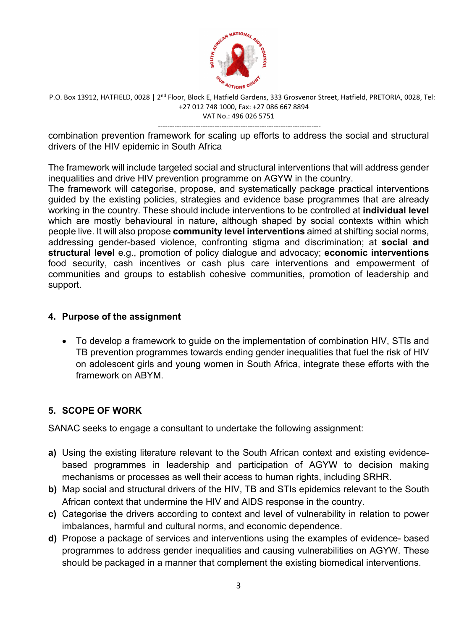

-------------------------------------------------------------------- combination prevention framework for scaling up efforts to address the social and structural drivers of the HIV epidemic in South Africa

The framework will include targeted social and structural interventions that will address gender inequalities and drive HIV prevention programme on AGYW in the country.

The framework will categorise, propose, and systematically package practical interventions guided by the existing policies, strategies and evidence base programmes that are already working in the country. These should include interventions to be controlled at **individual level** which are mostly behavioural in nature, although shaped by social contexts within which people live. It will also propose **community level interventions** aimed at shifting social norms, addressing gender-based violence, confronting stigma and discrimination; at **social and structural level** e.g., promotion of policy dialogue and advocacy; **economic interventions** food security, cash incentives or cash plus care interventions and empowerment of communities and groups to establish cohesive communities, promotion of leadership and support.

#### **4. Purpose of the assignment**

• To develop a framework to guide on the implementation of combination HIV, STIs and TB prevention programmes towards ending gender inequalities that fuel the risk of HIV on adolescent girls and young women in South Africa, integrate these efforts with the framework on ABYM.

#### **5. SCOPE OF WORK**

SANAC seeks to engage a consultant to undertake the following assignment:

- **a)** Using the existing literature relevant to the South African context and existing evidencebased programmes in leadership and participation of AGYW to decision making mechanisms or processes as well their access to human rights, including SRHR.
- **b)** Map social and structural drivers of the HIV, TB and STIs epidemics relevant to the South African context that undermine the HIV and AIDS response in the country.
- **c)** Categorise the drivers according to context and level of vulnerability in relation to power imbalances, harmful and cultural norms, and economic dependence.
- **d)** Propose a package of services and interventions using the examples of evidence- based programmes to address gender inequalities and causing vulnerabilities on AGYW. These should be packaged in a manner that complement the existing biomedical interventions.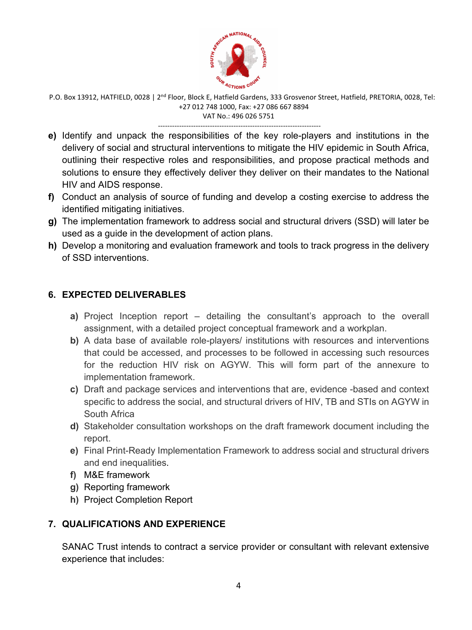

---------------------------------------------------------------------

- **e)** Identify and unpack the responsibilities of the key role-players and institutions in the delivery of social and structural interventions to mitigate the HIV epidemic in South Africa, outlining their respective roles and responsibilities, and propose practical methods and solutions to ensure they effectively deliver they deliver on their mandates to the National HIV and AIDS response.
- **f)** Conduct an analysis of source of funding and develop a costing exercise to address the identified mitigating initiatives.
- **g)** The implementation framework to address social and structural drivers (SSD) will later be used as a guide in the development of action plans.
- **h)** Develop a monitoring and evaluation framework and tools to track progress in the delivery of SSD interventions.

#### **6. EXPECTED DELIVERABLES**

- **a)** Project Inception report detailing the consultant's approach to the overall assignment, with a detailed project conceptual framework and a workplan.
- **b)** A data base of available role-players/ institutions with resources and interventions that could be accessed, and processes to be followed in accessing such resources for the reduction HIV risk on AGYW. This will form part of the annexure to implementation framework.
- **c)** Draft and package services and interventions that are, evidence -based and context specific to address the social, and structural drivers of HIV, TB and STIs on AGYW in South Africa
- **d)** Stakeholder consultation workshops on the draft framework document including the report.
- **e)** Final Print-Ready Implementation Framework to address social and structural drivers and end inequalities.
- **f)** M&E framework
- **g)** Reporting framework
- **h)** Project Completion Report

## **7. QUALIFICATIONS AND EXPERIENCE**

SANAC Trust intends to contract a service provider or consultant with relevant extensive experience that includes: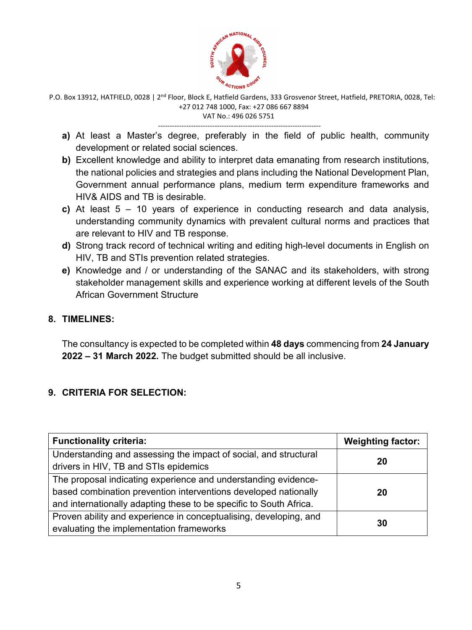

---------------------------------------------------------------------

- **a)** At least a Master's degree, preferably in the field of public health, community development or related social sciences.
- **b)** Excellent knowledge and ability to interpret data emanating from research institutions, the national policies and strategies and plans including the National Development Plan, Government annual performance plans, medium term expenditure frameworks and HIV& AIDS and TB is desirable.
- **c)** At least 5 10 years of experience in conducting research and data analysis, understanding community dynamics with prevalent cultural norms and practices that are relevant to HIV and TB response.
- **d)** Strong track record of technical writing and editing high-level documents in English on HIV, TB and STIs prevention related strategies.
- **e)** Knowledge and / or understanding of the SANAC and its stakeholders, with strong stakeholder management skills and experience working at different levels of the South African Government Structure

#### **8. TIMELINES:**

The consultancy is expected to be completed within **48 days** commencing from **24 January 2022 – 31 March 2022.** The budget submitted should be all inclusive.

### **9. CRITERIA FOR SELECTION:**

| <b>Functionality criteria:</b>                                                                                                                                                                          | <b>Weighting factor:</b> |
|---------------------------------------------------------------------------------------------------------------------------------------------------------------------------------------------------------|--------------------------|
| Understanding and assessing the impact of social, and structural<br>drivers in HIV, TB and STIs epidemics                                                                                               | 20                       |
| The proposal indicating experience and understanding evidence-<br>based combination prevention interventions developed nationally<br>and internationally adapting these to be specific to South Africa. | 20                       |
| Proven ability and experience in conceptualising, developing, and<br>evaluating the implementation frameworks                                                                                           | 30                       |